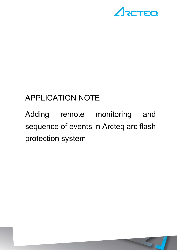

# APPLICATION NOTE

Adding remote monitoring and sequence of events in Arcteq arc flash protection system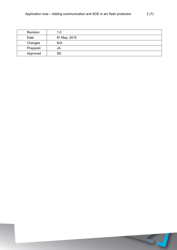| Revision | 1.0                       |
|----------|---------------------------|
| Date     | 5 <sup>th</sup> May, 2015 |
| Changes  | N/A                       |
| Prepared | JA                        |
| Approved | <b>SD</b>                 |

57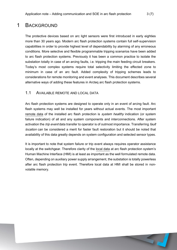## 1 BACKGROUND

The protective devices based on arc light sensors were first introduced in early eighties more than 30 years ago. Modern arc flash protection systems contain full self-supervision capabilities in order to provide highest level of dependability by alarming of any erroneous conditions. More selective and flexible programmable tripping scenarios have been added to arc flash protection systems. Previously it has been a common practice to isolate the substation totally in case of an arcing faults, i.e. tripping the main feeding circuit breakers. Today's most complex systems require total selectivity limiting the effected zone to minimum in case of an arc fault. Added complexity of tripping schemes leads to considerations for remote monitoring and event analyses. This document describes several alternative ways of adding these features in Arcteq arc flash protection systems.

#### 1.1 AVAILABLE REMOTE AND LOCAL DATA

Arc flash protection systems are designed to operate only in an event of arcing fault. Arc flash systems may well be installed for years without actual events. The most important remote data of the installed arc flash protection is *system healthy* indication (or system failure indication) of all and any system components and interconnections. After system activation the *trip event* data transfer to operator is of outmost importance. Transferring fault location can be considered a merit for faster fault restoration but it should be noted that availability of this data greatly depends on system configuration and selected sensor types.

It is important to note that system failure or trip event always requires operator assistance locally at the switchgear. Therefore clarity of the local data at arc flash protection system's Human Machine Interface (HMI) is at least as important as the well formulated remote data. Often, depending on auxiliary power supply arrangement, the substation is totally powerless after arc flash protection trip event. Therefore local data at HMI shall be stored in nonvolatile memory.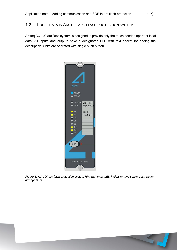### 1.2 LOCAL DATA IN ARCTEQ ARC FLASH PROTECTION SYSTEM

Arcteq AQ 100 arc flash system is designed to provide only the much needed operator local data. All inputs and outputs have a designated LED with text pocket for adding the description. Units are operated with single push button.



*Figure 1: AQ 100 arc flash protection system HMI with clear LED indication and single push-button arrangement*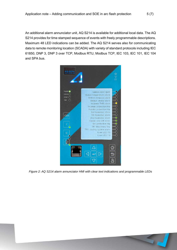An additional alarm annunciator unit, AQ S214 is available for additional local data. The AQ S214 provides for time stamped sequence of events with freely programmable descriptions. Maximum 48 LED indications can be added. The AQ S214 serves also for communicating data to remote monitoring location (SCADA) with variety of standard protocols including IEC 61850, DNP 3, DNP 3 over TCP, Modbus RTU, Modbus TCP, IEC 103, IEC 101, IEC 104 and SPA bus.



*Figure 2: AQ S214 alarm annunciator HMI with clear text indications and programmable LEDs*

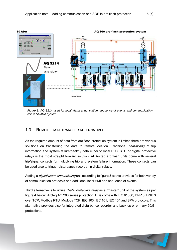

*Figure 3: AQ S214 used for local alarm annunciation, sequence of events and communication link to SCADA system.* 

#### 1.3 REMOTE DATA TRANSFER ALTERNATIVES

As the required amount of data from arc flash protection system is limited there are various solutions on transferring the data to remote location. Traditional *hard-wiring* of trip information and system failure/healthy data either to local PLC, RTU or digital protective relays is the most straight forward solution. All Arcteq arc flash units come with several trip/signal contacts for multiplying trip and system failure information. These contacts can be used also to trigger disturbance recorder in digital relays.

Adding a *digital alarm annunciating* unit according to figure 3 above provides for both variety of communication protocols and additional local HMI and sequence of events.

Third alternative is to utilize *digital protective relay* as a "master" unit of the system as per figure 4 below. Arcteq AQ 200 series protection IEDs come with IEC 61850, DNP 3, DNP 3 over TCP, Modbus RTU, Modbus TCP, IEC 103, IEC 101, IEC 104 and SPA protocols. This alternative provides also for integrated disturbance recorder and back-up or primary 50/51 protections.